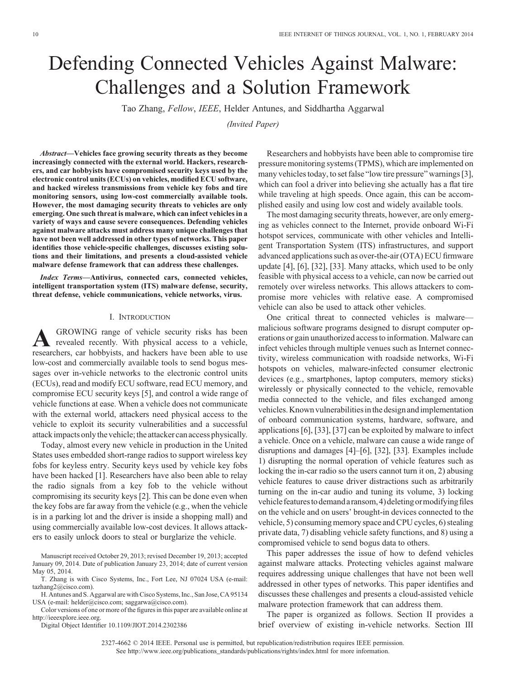# Defending Connected Vehicles Against Malware: Challenges and a Solution Framework

Tao Zhang, Fellow, IEEE, Helder Antunes, and Siddhartha Aggarwal

(Invited Paper)

Abstract—Vehicles face growing security threats as they become increasingly connected with the external world. Hackers, researchers, and car hobbyists have compromised security keys used by the electronic control units (ECUs) on vehicles, modified ECU software, and hacked wireless transmissions from vehicle key fobs and tire monitoring sensors, using low-cost commercially available tools. However, the most damaging security threats to vehicles are only emerging. One such threat is malware, which can infect vehicles in a variety of ways and cause severe consequences. Defending vehicles against malware attacks must address many unique challenges that have not been well addressed in other types of networks. This paper identifies those vehicle-specific challenges, discusses existing solutions and their limitations, and presents a cloud-assisted vehicle malware defense framework that can address these challenges.

Index Terms—Antivirus, connected cars, connected vehicles, intelligent transportation system (ITS) malware defense, security, threat defense, vehicle communications, vehicle networks, virus.

### I. INTRODUCTION

A GROWING range of vehicle security risks has been<br>revealed recently. With physical access to a vehicle,<br>recently are habitation and healter have been able to we researchers, car hobbyists, and hackers have been able to use low-cost and commercially available tools to send bogus messages over in-vehicle networks to the electronic control units (ECUs), read and modify ECU software, read ECU memory, and compromise ECU security keys [5], and control a wide range of vehicle functions at ease. When a vehicle does not communicate with the external world, attackers need physical access to the vehicle to exploit its security vulnerabilities and a successful attack impacts only the vehicle; the attacker can access physically.

Today, almost every new vehicle in production in the United States uses embedded short-range radios to support wireless key fobs for keyless entry. Security keys used by vehicle key fobs have been hacked [1]. Researchers have also been able to relay the radio signals from a key fob to the vehicle without compromising its security keys [2]. This can be done even when the key fobs are far away from the vehicle (e.g., when the vehicle is in a parking lot and the driver is inside a shopping mall) and using commercially available low-cost devices. It allows attackers to easily unlock doors to steal or burglarize the vehicle.

H. Antunes and S. Aggarwal are with Cisco Systems, Inc., San Jose, CA 95134 USA (e-mail: helder@cisco.com; saggarwa@cisco.com).

Color versions of one or more of the figures in this paper are available online at http://ieeexplore.ieee.org.

Digital Object Identifier 10.1109/JIOT.2014.2302386

Researchers and hobbyists have been able to compromise tire pressure monitoring systems (TPMS), which are implemented on many vehicles today, to set false "low tire pressure" warnings [3], which can fool a driver into believing she actually has a flat tire while traveling at high speeds. Once again, this can be accomplished easily and using low cost and widely available tools.

The most damaging security threats, however, are only emerging as vehicles connect to the Internet, provide onboard Wi-Fi hotspot services, communicate with other vehicles and Intelligent Transportation System (ITS) infrastructures, and support advanced applications such as over-the-air (OTA) ECU firmware update [4], [6], [32], [33]. Many attacks, which used to be only feasible with physical access to a vehicle, can now be carried out remotely over wireless networks. This allows attackers to compromise more vehicles with relative ease. A compromised vehicle can also be used to attack other vehicles.

One critical threat to connected vehicles is malware malicious software programs designed to disrupt computer operations or gain unauthorized access to information. Malware can infect vehicles through multiple venues such as Internet connectivity, wireless communication with roadside networks, Wi-Fi hotspots on vehicles, malware-infected consumer electronic devices (e.g., smartphones, laptop computers, memory sticks) wirelessly or physically connected to the vehicle, removable media connected to the vehicle, and files exchanged among vehicles. Known vulnerabilities in the design and implementation of onboard communication systems, hardware, software, and applications [6], [33], [37] can be exploited by malware to infect a vehicle. Once on a vehicle, malware can cause a wide range of disruptions and damages [4]–[6], [32], [33]. Examples include 1) disrupting the normal operation of vehicle features such as locking the in-car radio so the users cannot turn it on, 2) abusing vehicle features to cause driver distractions such as arbitrarily turning on the in-car audio and tuning its volume, 3) locking vehicle featuresto demanda ransom, 4) deleting ormodifyingfiles on the vehicle and on users' brought-in devices connected to the vehicle, 5) consuming memory space and CPU cycles, 6) stealing private data, 7) disabling vehicle safety functions, and 8) using a compromised vehicle to send bogus data to others.

This paper addresses the issue of how to defend vehicles against malware attacks. Protecting vehicles against malware requires addressing unique challenges that have not been well addressed in other types of networks. This paper identifies and discusses these challenges and presents a cloud-assisted vehicle malware protection framework that can address them.

The paper is organized as follows. Section II provides a brief overview of existing in-vehicle networks. Section III

2327-4662 © 2014 IEEE. Personal use is permitted, but republication/redistribution requires IEEE permission. See http://www.ieee.org/publications\_standards/publications/rights/index.html for more information.

Manuscript received October 29, 2013; revised December 19, 2013; accepted January 09, 2014. Date of publication January 23, 2014; date of current version May 05, 2014.

T. Zhang is with Cisco Systems, Inc., Fort Lee, NJ 07024 USA (e-mail: tazhang2@cisco.com).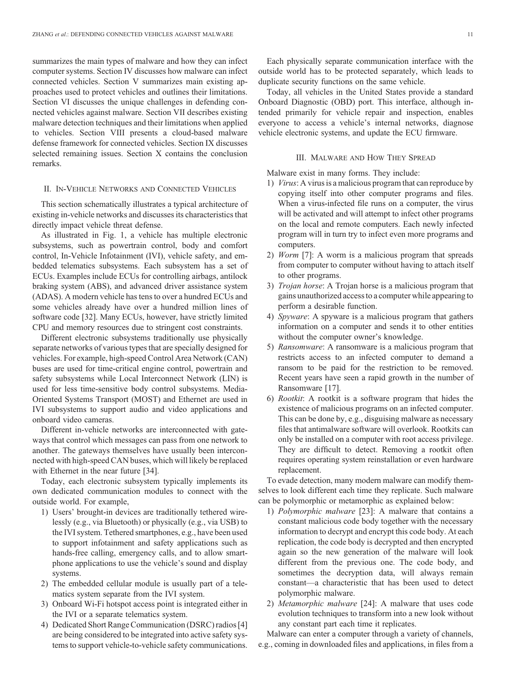summarizes the main types of malware and how they can infect computer systems. Section IV discusses how malware can infect connected vehicles. Section V summarizes main existing approaches used to protect vehicles and outlines their limitations. Section VI discusses the unique challenges in defending connected vehicles against malware. Section VII describes existing malware detection techniques and their limitations when applied to vehicles. Section VIII presents a cloud-based malware defense framework for connected vehicles. Section IX discusses selected remaining issues. Section X contains the conclusion remarks.

# II. IN-VEHICLE NETWORKS AND CONNECTED VEHICLES

This section schematically illustrates a typical architecture of existing in-vehicle networks and discusses its characteristics that directly impact vehicle threat defense.

As illustrated in Fig. 1, a vehicle has multiple electronic subsystems, such as powertrain control, body and comfort control, In-Vehicle Infotainment (IVI), vehicle safety, and embedded telematics subsystems. Each subsystem has a set of ECUs. Examples include ECUs for controlling airbags, antilock braking system (ABS), and advanced driver assistance system (ADAS). A modern vehicle has tens to over a hundred ECUs and some vehicles already have over a hundred million lines of software code [32]. Many ECUs, however, have strictly limited CPU and memory resources due to stringent cost constraints.

Different electronic subsystems traditionally use physically separate networks of various types that are specially designed for vehicles. For example, high-speed Control Area Network (CAN) buses are used for time-critical engine control, powertrain and safety subsystems while Local Interconnect Network (LIN) is used for less time-sensitive body control subsystems. Media-Oriented Systems Transport (MOST) and Ethernet are used in IVI subsystems to support audio and video applications and onboard video cameras.

Different in-vehicle networks are interconnected with gateways that control which messages can pass from one network to another. The gateways themselves have usually been interconnected with high-speed CAN buses, which will likely be replaced with Ethernet in the near future [34].

Today, each electronic subsystem typically implements its own dedicated communication modules to connect with the outside world. For example,

- 1) Users' brought-in devices are traditionally tethered wirelessly (e.g., via Bluetooth) or physically (e.g., via USB) to the IVI system. Tethered smartphones, e.g., have been used to support infotainment and safety applications such as hands-free calling, emergency calls, and to allow smartphone applications to use the vehicle's sound and display systems.
- 2) The embedded cellular module is usually part of a telematics system separate from the IVI system.
- 3) Onboard Wi-Fi hotspot access point is integrated either in the IVI or a separate telematics system.
- 4) Dedicated Short Range Communication (DSRC) radios [4] are being considered to be integrated into active safety systems to support vehicle-to-vehicle safety communications.

Each physically separate communication interface with the outside world has to be protected separately, which leads to duplicate security functions on the same vehicle.

Today, all vehicles in the United States provide a standard Onboard Diagnostic (OBD) port. This interface, although intended primarily for vehicle repair and inspection, enables everyone to access a vehicle's internal networks, diagnose vehicle electronic systems, and update the ECU firmware.

#### III. MALWARE AND HOW THEY SPREAD

Malware exist in many forms. They include:

- 1) Virus: A virus is a malicious program that can reproduce by copying itself into other computer programs and files. When a virus-infected file runs on a computer, the virus will be activated and will attempt to infect other programs on the local and remote computers. Each newly infected program will in turn try to infect even more programs and computers.
- 2) Worm [7]: A worm is a malicious program that spreads from computer to computer without having to attach itself to other programs.
- 3) Trojan horse: A Trojan horse is a malicious program that gains unauthorized access to a computer while appearing to perform a desirable function.
- 4) Spyware: A spyware is a malicious program that gathers information on a computer and sends it to other entities without the computer owner's knowledge.
- 5) Ransomware: A ransomware is a malicious program that restricts access to an infected computer to demand a ransom to be paid for the restriction to be removed. Recent years have seen a rapid growth in the number of Ransomware [17].
- 6) Rootkit: A rootkit is a software program that hides the existence of malicious programs on an infected computer. This can be done by, e.g., disguising malware as necessary files that antimalware software will overlook. Rootkits can only be installed on a computer with root access privilege. They are difficult to detect. Removing a rootkit often requires operating system reinstallation or even hardware replacement.

To evade detection, many modern malware can modify themselves to look different each time they replicate. Such malware can be polymorphic or metamorphic as explained below:

- 1) Polymorphic malware [23]: A malware that contains a constant malicious code body together with the necessary information to decrypt and encrypt this code body. At each replication, the code body is decrypted and then encrypted again so the new generation of the malware will look different from the previous one. The code body, and sometimes the decryption data, will always remain constant—a characteristic that has been used to detect polymorphic malware.
- 2) Metamorphic malware [24]: A malware that uses code evolution techniques to transform into a new look without any constant part each time it replicates.

Malware can enter a computer through a variety of channels, e.g., coming in downloaded files and applications, in files from a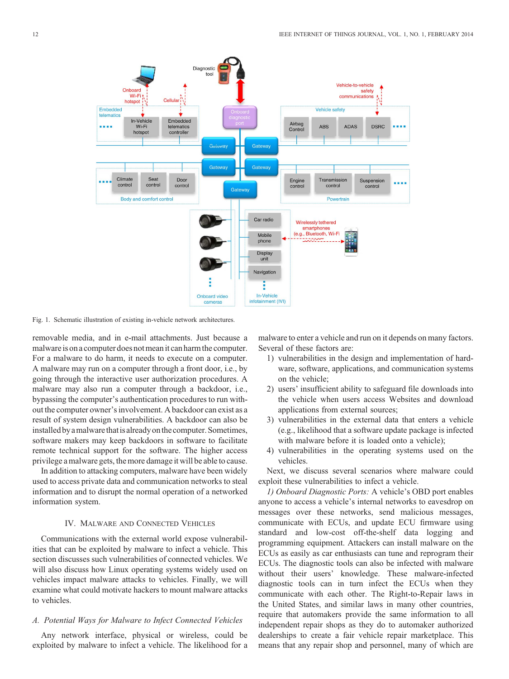Fig. 1. Schematic illustration of existing in-vehicle network architectures.

removable media, and in e-mail attachments. Just because a malware is on a computer does not mean it can harm the computer. For a malware to do harm, it needs to execute on a computer. A malware may run on a computer through a front door, i.e., by going through the interactive user authorization procedures. A malware may also run a computer through a backdoor, i.e., bypassing the computer's authentication procedures to run without the computer owner's involvement. A backdoor can exist as a result of system design vulnerabilities. A backdoor can also be installed by a malware that is already on the computer. Sometimes, software makers may keep backdoors in software to facilitate remote technical support for the software. The higher access privilege a malware gets, the more damage it will be able to cause.

In addition to attacking computers, malware have been widely used to access private data and communication networks to steal information and to disrupt the normal operation of a networked information system.

# IV. MALWARE AND CONNECTED VEHICLES

Communications with the external world expose vulnerabilities that can be exploited by malware to infect a vehicle. This section discusses such vulnerabilities of connected vehicles. We will also discuss how Linux operating systems widely used on vehicles impact malware attacks to vehicles. Finally, we will examine what could motivate hackers to mount malware attacks to vehicles.

# A. Potential Ways for Malware to Infect Connected Vehicles

Any network interface, physical or wireless, could be exploited by malware to infect a vehicle. The likelihood for a

malware to enter a vehicle and run on it depends on many factors. Several of these factors are:

- 1) vulnerabilities in the design and implementation of hardware, software, applications, and communication systems on the vehicle;
- 2) users' insufficient ability to safeguard file downloads into the vehicle when users access Websites and download applications from external sources;
- 3) vulnerabilities in the external data that enters a vehicle (e.g., likelihood that a software update package is infected with malware before it is loaded onto a vehicle);
- 4) vulnerabilities in the operating systems used on the vehicles.

Next, we discuss several scenarios where malware could exploit these vulnerabilities to infect a vehicle.

1) Onboard Diagnostic Ports: A vehicle's OBD port enables anyone to access a vehicle's internal networks to eavesdrop on messages over these networks, send malicious messages, communicate with ECUs, and update ECU firmware using standard and low-cost off-the-shelf data logging and programming equipment. Attackers can install malware on the ECUs as easily as car enthusiasts can tune and reprogram their ECUs. The diagnostic tools can also be infected with malware without their users' knowledge. These malware-infected diagnostic tools can in turn infect the ECUs when they communicate with each other. The Right-to-Repair laws in the United States, and similar laws in many other countries, require that automakers provide the same information to all independent repair shops as they do to automaker authorized dealerships to create a fair vehicle repair marketplace. This means that any repair shop and personnel, many of which are

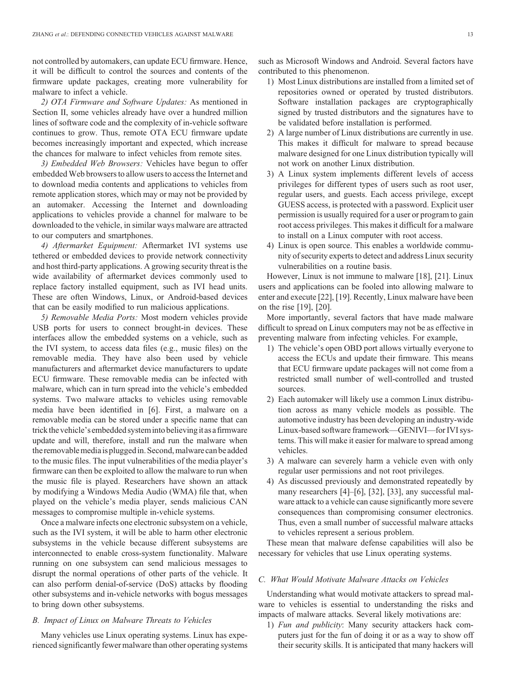not controlled by automakers, can update ECU firmware. Hence, it will be difficult to control the sources and contents of the firmware update packages, creating more vulnerability for malware to infect a vehicle.

2) OTA Firmware and Software Updates: As mentioned in Section II, some vehicles already have over a hundred million lines of software code and the complexity of in-vehicle software continues to grow. Thus, remote OTA ECU firmware update becomes increasingly important and expected, which increase the chances for malware to infect vehicles from remote sites.

3) Embedded Web Browsers: Vehicles have begun to offer embedded Web browsers to allow users to access the Internet and to download media contents and applications to vehicles from remote application stores, which may or may not be provided by an automaker. Accessing the Internet and downloading applications to vehicles provide a channel for malware to be downloaded to the vehicle, in similar ways malware are attracted to our computers and smartphones.

4) Aftermarket Equipment: Aftermarket IVI systems use tethered or embedded devices to provide network connectivity and host third-party applications. A growing security threat is the wide availability of aftermarket devices commonly used to replace factory installed equipment, such as IVI head units. These are often Windows, Linux, or Android-based devices that can be easily modified to run malicious applications.

5) Removable Media Ports: Most modern vehicles provide USB ports for users to connect brought-in devices. These interfaces allow the embedded systems on a vehicle, such as the IVI system, to access data files (e.g., music files) on the removable media. They have also been used by vehicle manufacturers and aftermarket device manufacturers to update ECU firmware. These removable media can be infected with malware, which can in turn spread into the vehicle's embedded systems. Two malware attacks to vehicles using removable media have been identified in [6]. First, a malware on a removable media can be stored under a specific name that can trick the vehicle's embedded system into believing it as a firmware update and will, therefore, install and run the malware when the removable mediais pluggedin. Second,malware can be added to the music files. The input vulnerabilities of the media player's firmware can then be exploited to allow the malware to run when the music file is played. Researchers have shown an attack by modifying a Windows Media Audio (WMA) file that, when played on the vehicle's media player, sends malicious CAN messages to compromise multiple in-vehicle systems.

Once a malware infects one electronic subsystem on a vehicle, such as the IVI system, it will be able to harm other electronic subsystems in the vehicle because different subsystems are interconnected to enable cross-system functionality. Malware running on one subsystem can send malicious messages to disrupt the normal operations of other parts of the vehicle. It can also perform denial-of-service (DoS) attacks by flooding other subsystems and in-vehicle networks with bogus messages to bring down other subsystems.

## B. Impact of Linux on Malware Threats to Vehicles

Many vehicles use Linux operating systems. Linux has experienced significantly fewer malware than other operating systems such as Microsoft Windows and Android. Several factors have contributed to this phenomenon.

- 1) Most Linux distributions are installed from a limited set of repositories owned or operated by trusted distributors. Software installation packages are cryptographically signed by trusted distributors and the signatures have to be validated before installation is performed.
- 2) A large number of Linux distributions are currently in use. This makes it difficult for malware to spread because malware designed for one Linux distribution typically will not work on another Linux distribution.
- 3) A Linux system implements different levels of access privileges for different types of users such as root user, regular users, and guests. Each access privilege, except GUESS access, is protected with a password. Explicit user permission is usually required for a user or program to gain root access privileges. This makes it difficult for a malware to install on a Linux computer with root access.
- 4) Linux is open source. This enables a worldwide community of security experts to detect and address Linux security vulnerabilities on a routine basis.

However, Linux is not immune to malware [18], [21]. Linux users and applications can be fooled into allowing malware to enter and execute [22], [19]. Recently, Linux malware have been on the rise [19], [20].

More importantly, several factors that have made malware difficult to spread on Linux computers may not be as effective in preventing malware from infecting vehicles. For example,

- 1) The vehicle's open OBD port allows virtually everyone to access the ECUs and update their firmware. This means that ECU firmware update packages will not come from a restricted small number of well-controlled and trusted sources.
- 2) Each automaker will likely use a common Linux distribution across as many vehicle models as possible. The automotive industry has been developing an industry-wide Linux-based software framework—GENIVI—for IVI systems. This will make it easier for malware to spread among vehicles.
- 3) A malware can severely harm a vehicle even with only regular user permissions and not root privileges.
- 4) As discussed previously and demonstrated repeatedly by many researchers [4]–[6], [32], [33], any successful malware attack to a vehicle can cause significantly more severe consequences than compromising consumer electronics. Thus, even a small number of successful malware attacks to vehicles represent a serious problem.

These mean that malware defense capabilities will also be necessary for vehicles that use Linux operating systems.

#### C. What Would Motivate Malware Attacks on Vehicles

Understanding what would motivate attackers to spread malware to vehicles is essential to understanding the risks and impacts of malware attacks. Several likely motivations are:

1) Fun and publicity: Many security attackers hack computers just for the fun of doing it or as a way to show off their security skills. It is anticipated that many hackers will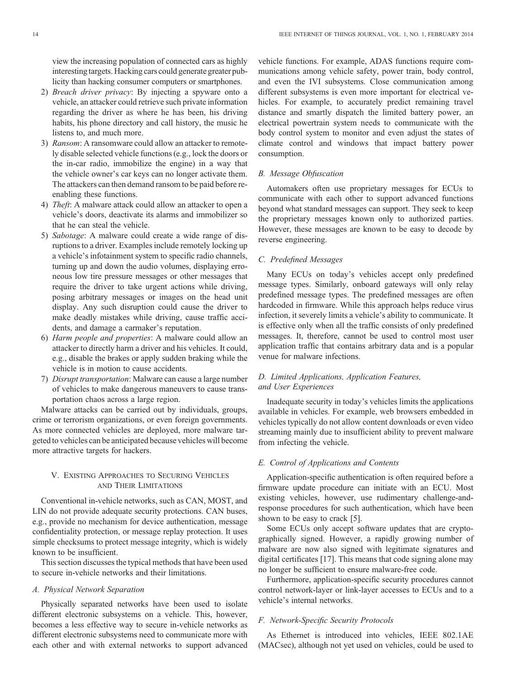view the increasing population of connected cars as highly interesting targets. Hacking cars could generate greater publicity than hacking consumer computers or smartphones.

- 2) Breach driver privacy: By injecting a spyware onto a vehicle, an attacker could retrieve such private information regarding the driver as where he has been, his driving habits, his phone directory and call history, the music he listens to, and much more.
- 3) Ransom: A ransomware could allow an attacker to remotely disable selected vehicle functions (e.g., lock the doors or the in-car radio, immobilize the engine) in a way that the vehicle owner's car keys can no longer activate them. The attackers can then demand ransom to be paid before reenabling these functions.
- 4) Theft: A malware attack could allow an attacker to open a vehicle's doors, deactivate its alarms and immobilizer so that he can steal the vehicle.
- 5) Sabotage: A malware could create a wide range of disruptions to a driver. Examples include remotely locking up a vehicle's infotainment system to specific radio channels, turning up and down the audio volumes, displaying erroneous low tire pressure messages or other messages that require the driver to take urgent actions while driving, posing arbitrary messages or images on the head unit display. Any such disruption could cause the driver to make deadly mistakes while driving, cause traffic accidents, and damage a carmaker's reputation.
- 6) Harm people and properties: A malware could allow an attacker to directly harm a driver and his vehicles. It could, e.g., disable the brakes or apply sudden braking while the vehicle is in motion to cause accidents.
- 7) Disrupt transportation: Malware can cause a large number of vehicles to make dangerous maneuvers to cause transportation chaos across a large region.

Malware attacks can be carried out by individuals, groups, crime or terrorism organizations, or even foreign governments. As more connected vehicles are deployed, more malware targeted to vehicles can be anticipated because vehicles will become more attractive targets for hackers.

# V. EXISTING APPROACHES TO SECURING VEHICLES AND THEIR LIMITATIONS

Conventional in-vehicle networks, such as CAN, MOST, and LIN do not provide adequate security protections. CAN buses, e.g., provide no mechanism for device authentication, message confidentiality protection, or message replay protection. It uses simple checksums to protect message integrity, which is widely known to be insufficient.

This section discusses the typical methods that have been used to secure in-vehicle networks and their limitations.

## A. Physical Network Separation

Physically separated networks have been used to isolate different electronic subsystems on a vehicle. This, however, becomes a less effective way to secure in-vehicle networks as different electronic subsystems need to communicate more with each other and with external networks to support advanced

vehicle functions. For example, ADAS functions require communications among vehicle safety, power train, body control, and even the IVI subsystems. Close communication among different subsystems is even more important for electrical vehicles. For example, to accurately predict remaining travel distance and smartly dispatch the limited battery power, an electrical powertrain system needs to communicate with the body control system to monitor and even adjust the states of climate control and windows that impact battery power consumption.

### B. Message Obfuscation

Automakers often use proprietary messages for ECUs to communicate with each other to support advanced functions beyond what standard messages can support. They seek to keep the proprietary messages known only to authorized parties. However, these messages are known to be easy to decode by reverse engineering.

## C. Predefined Messages

Many ECUs on today's vehicles accept only predefined message types. Similarly, onboard gateways will only relay predefined message types. The predefined messages are often hardcoded in firmware. While this approach helps reduce virus infection, it severely limits a vehicle's ability to communicate. It is effective only when all the traffic consists of only predefined messages. It, therefore, cannot be used to control most user application traffic that contains arbitrary data and is a popular venue for malware infections.

# D. Limited Applications, Application Features, and User Experiences

Inadequate security in today's vehicles limits the applications available in vehicles. For example, web browsers embedded in vehicles typically do not allow content downloads or even video streaming mainly due to insufficient ability to prevent malware from infecting the vehicle.

## E. Control of Applications and Contents

Application-specific authentication is often required before a firmware update procedure can initiate with an ECU. Most existing vehicles, however, use rudimentary challenge-andresponse procedures for such authentication, which have been shown to be easy to crack [5].

Some ECUs only accept software updates that are cryptographically signed. However, a rapidly growing number of malware are now also signed with legitimate signatures and digital certificates [17]. This means that code signing alone may no longer be sufficient to ensure malware-free code.

Furthermore, application-specific security procedures cannot control network-layer or link-layer accesses to ECUs and to a vehicle's internal networks.

#### F. Network-Specific Security Protocols

As Ethernet is introduced into vehicles, IEEE 802.1AE (MACsec), although not yet used on vehicles, could be used to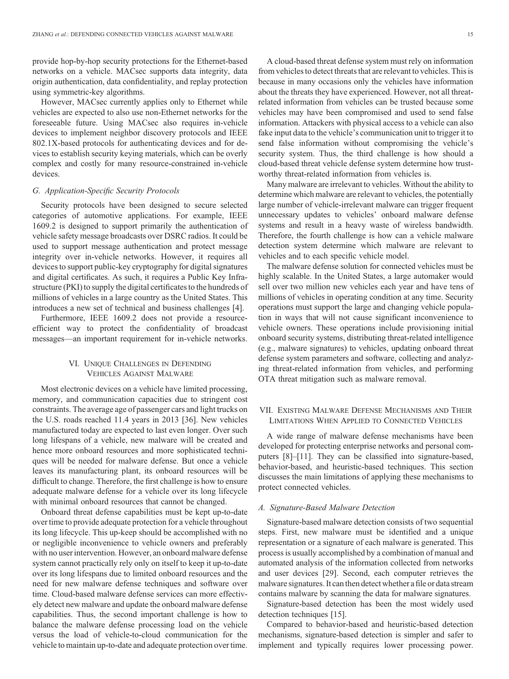provide hop-by-hop security protections for the Ethernet-based networks on a vehicle. MACsec supports data integrity, data origin authentication, data confidentiality, and replay protection using symmetric-key algorithms.

However, MACsec currently applies only to Ethernet while vehicles are expected to also use non-Ethernet networks for the foreseeable future. Using MACsec also requires in-vehicle devices to implement neighbor discovery protocols and IEEE 802.1X-based protocols for authenticating devices and for devices to establish security keying materials, which can be overly complex and costly for many resource-constrained in-vehicle devices.

#### G. Application-Specific Security Protocols

Security protocols have been designed to secure selected categories of automotive applications. For example, IEEE 1609.2 is designed to support primarily the authentication of vehicle safety message broadcasts over DSRC radios. It could be used to support message authentication and protect message integrity over in-vehicle networks. However, it requires all devices to support public-key cryptography for digital signatures and digital certificates. As such, it requires a Public Key Infrastructure (PKI) to supply the digital certificates to the hundreds of millions of vehicles in a large country as the United States. This introduces a new set of technical and business challenges [4].

Furthermore, IEEE 1609.2 does not provide a resourceefficient way to protect the confidentiality of broadcast messages—an important requirement for in-vehicle networks.

## VI. UNIQUE CHALLENGES IN DEFENDING VEHICLES AGAINST MALWARE

Most electronic devices on a vehicle have limited processing, memory, and communication capacities due to stringent cost constraints. The average age of passenger cars and light trucks on the U.S. roads reached 11.4 years in 2013 [36]. New vehicles manufactured today are expected to last even longer. Over such long lifespans of a vehicle, new malware will be created and hence more onboard resources and more sophisticated techniques will be needed for malware defense. But once a vehicle leaves its manufacturing plant, its onboard resources will be difficult to change. Therefore, the first challenge is how to ensure adequate malware defense for a vehicle over its long lifecycle with minimal onboard resources that cannot be changed.

Onboard threat defense capabilities must be kept up-to-date over time to provide adequate protection for a vehicle throughout its long lifecycle. This up-keep should be accomplished with no or negligible inconvenience to vehicle owners and preferably with no user intervention. However, an onboard malware defense system cannot practically rely only on itself to keep it up-to-date over its long lifespans due to limited onboard resources and the need for new malware defense techniques and software over time. Cloud-based malware defense services can more effectively detect new malware and update the onboard malware defense capabilities. Thus, the second important challenge is how to balance the malware defense processing load on the vehicle versus the load of vehicle-to-cloud communication for the vehicle to maintain up-to-date and adequate protection over time.

A cloud-based threat defense system must rely on information from vehicles to detect threats that are relevant to vehicles. This is because in many occasions only the vehicles have information about the threats they have experienced. However, not all threatrelated information from vehicles can be trusted because some vehicles may have been compromised and used to send false information. Attackers with physical access to a vehicle can also fake input data to the vehicle's communication unit to trigger it to send false information without compromising the vehicle's security system. Thus, the third challenge is how should a cloud-based threat vehicle defense system determine how trustworthy threat-related information from vehicles is.

Many malware are irrelevant to vehicles. Without the ability to determine which malware are relevant to vehicles, the potentially large number of vehicle-irrelevant malware can trigger frequent unnecessary updates to vehicles' onboard malware defense systems and result in a heavy waste of wireless bandwidth. Therefore, the fourth challenge is how can a vehicle malware detection system determine which malware are relevant to vehicles and to each specific vehicle model.

The malware defense solution for connected vehicles must be highly scalable. In the United States, a large automaker would sell over two million new vehicles each year and have tens of millions of vehicles in operating condition at any time. Security operations must support the large and changing vehicle population in ways that will not cause significant inconvenience to vehicle owners. These operations include provisioning initial onboard security systems, distributing threat-related intelligence (e.g., malware signatures) to vehicles, updating onboard threat defense system parameters and software, collecting and analyzing threat-related information from vehicles, and performing OTA threat mitigation such as malware removal.

# VII. EXISTING MALWARE DEFENSE MECHANISMS AND THEIR LIMITATIONS WHEN APPLIED TO CONNECTED VEHICLES

A wide range of malware defense mechanisms have been developed for protecting enterprise networks and personal computers [8]–[11]. They can be classified into signature-based, behavior-based, and heuristic-based techniques. This section discusses the main limitations of applying these mechanisms to protect connected vehicles.

#### A. Signature-Based Malware Detection

Signature-based malware detection consists of two sequential steps. First, new malware must be identified and a unique representation or a signature of each malware is generated. This process is usually accomplished by a combination of manual and automated analysis of the information collected from networks and user devices [29]. Second, each computer retrieves the malware signatures. It can then detect whether afile or data stream contains malware by scanning the data for malware signatures.

Signature-based detection has been the most widely used detection techniques [15].

Compared to behavior-based and heuristic-based detection mechanisms, signature-based detection is simpler and safer to implement and typically requires lower processing power.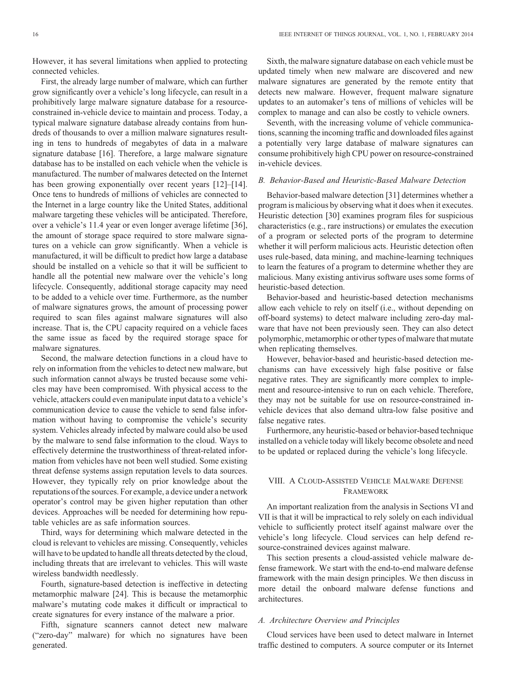However, it has several limitations when applied to protecting connected vehicles.

First, the already large number of malware, which can further grow significantly over a vehicle's long lifecycle, can result in a prohibitively large malware signature database for a resourceconstrained in-vehicle device to maintain and process. Today, a typical malware signature database already contains from hundreds of thousands to over a million malware signatures resulting in tens to hundreds of megabytes of data in a malware signature database [16]. Therefore, a large malware signature database has to be installed on each vehicle when the vehicle is manufactured. The number of malwares detected on the Internet has been growing exponentially over recent years [12]–[14]. Once tens to hundreds of millions of vehicles are connected to the Internet in a large country like the United States, additional malware targeting these vehicles will be anticipated. Therefore, over a vehicle's 11.4 year or even longer average lifetime [36], the amount of storage space required to store malware signatures on a vehicle can grow significantly. When a vehicle is manufactured, it will be difficult to predict how large a database should be installed on a vehicle so that it will be sufficient to handle all the potential new malware over the vehicle's long lifecycle. Consequently, additional storage capacity may need to be added to a vehicle over time. Furthermore, as the number of malware signatures grows, the amount of processing power required to scan files against malware signatures will also increase. That is, the CPU capacity required on a vehicle faces the same issue as faced by the required storage space for malware signatures.

Second, the malware detection functions in a cloud have to rely on information from the vehicles to detect new malware, but such information cannot always be trusted because some vehicles may have been compromised. With physical access to the vehicle, attackers could even manipulate input data to a vehicle's communication device to cause the vehicle to send false information without having to compromise the vehicle's security system. Vehicles already infected by malware could also be used by the malware to send false information to the cloud. Ways to effectively determine the trustworthiness of threat-related information from vehicles have not been well studied. Some existing threat defense systems assign reputation levels to data sources. However, they typically rely on prior knowledge about the reputations of the sources. For example, a device under a network operator's control may be given higher reputation than other devices. Approaches will be needed for determining how reputable vehicles are as safe information sources.

Third, ways for determining which malware detected in the cloud is relevant to vehicles are missing. Consequently, vehicles will have to be updated to handle all threats detected by the cloud, including threats that are irrelevant to vehicles. This will waste wireless bandwidth needlessly.

Fourth, signature-based detection is ineffective in detecting metamorphic malware [24]. This is because the metamorphic malware's mutating code makes it difficult or impractical to create signatures for every instance of the malware a prior.

Fifth, signature scanners cannot detect new malware ("zero-day" malware) for which no signatures have been generated.

Sixth, the malware signature database on each vehicle must be updated timely when new malware are discovered and new malware signatures are generated by the remote entity that detects new malware. However, frequent malware signature updates to an automaker's tens of millions of vehicles will be complex to manage and can also be costly to vehicle owners.

Seventh, with the increasing volume of vehicle communications, scanning the incoming traffic and downloaded files against a potentially very large database of malware signatures can consume prohibitively high CPU power on resource-constrained in-vehicle devices.

#### B. Behavior-Based and Heuristic-Based Malware Detection

Behavior-based malware detection [31] determines whether a program is malicious by observing what it does when it executes. Heuristic detection [30] examines program files for suspicious characteristics (e.g., rare instructions) or emulates the execution of a program or selected ports of the program to determine whether it will perform malicious acts. Heuristic detection often uses rule-based, data mining, and machine-learning techniques to learn the features of a program to determine whether they are malicious. Many existing antivirus software uses some forms of heuristic-based detection.

Behavior-based and heuristic-based detection mechanisms allow each vehicle to rely on itself (i.e., without depending on off-board systems) to detect malware including zero-day malware that have not been previously seen. They can also detect polymorphic, metamorphic or other types of malware that mutate when replicating themselves.

However, behavior-based and heuristic-based detection mechanisms can have excessively high false positive or false negative rates. They are significantly more complex to implement and resource-intensive to run on each vehicle. Therefore, they may not be suitable for use on resource-constrained invehicle devices that also demand ultra-low false positive and false negative rates.

Furthermore, any heuristic-based or behavior-based technique installed on a vehicle today will likely become obsolete and need to be updated or replaced during the vehicle's long lifecycle.

# VIII. A CLOUD-ASSISTED VEHICLE MALWARE DEFENSE FRAMEWORK

An important realization from the analysis in Sections VI and VII is that it will be impractical to rely solely on each individual vehicle to sufficiently protect itself against malware over the vehicle's long lifecycle. Cloud services can help defend resource-constrained devices against malware.

This section presents a cloud-assisted vehicle malware defense framework. We start with the end-to-end malware defense framework with the main design principles. We then discuss in more detail the onboard malware defense functions and architectures.

#### A. Architecture Overview and Principles

Cloud services have been used to detect malware in Internet traffic destined to computers. A source computer or its Internet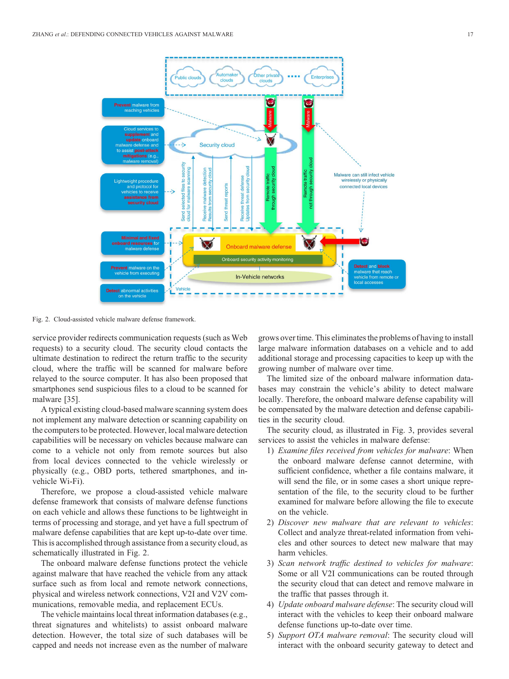

Fig. 2. Cloud-assisted vehicle malware defense framework.

service provider redirects communication requests (such as Web requests) to a security cloud. The security cloud contacts the ultimate destination to redirect the return traffic to the security cloud, where the traffic will be scanned for malware before relayed to the source computer. It has also been proposed that smartphones send suspicious files to a cloud to be scanned for malware [35].

A typical existing cloud-based malware scanning system does not implement any malware detection or scanning capability on the computers to be protected. However, local malware detection capabilities will be necessary on vehicles because malware can come to a vehicle not only from remote sources but also from local devices connected to the vehicle wirelessly or physically (e.g., OBD ports, tethered smartphones, and invehicle Wi-Fi).

Therefore, we propose a cloud-assisted vehicle malware defense framework that consists of malware defense functions on each vehicle and allows these functions to be lightweight in terms of processing and storage, and yet have a full spectrum of malware defense capabilities that are kept up-to-date over time. This is accomplished through assistance from a security cloud, as schematically illustrated in Fig. 2.

The onboard malware defense functions protect the vehicle against malware that have reached the vehicle from any attack surface such as from local and remote network connections, physical and wireless network connections, V2I and V2V communications, removable media, and replacement ECUs.

The vehicle maintains local threat information databases (e.g., threat signatures and whitelists) to assist onboard malware detection. However, the total size of such databases will be capped and needs not increase even as the number of malware

grows over time. This eliminates the problems of having to install large malware information databases on a vehicle and to add additional storage and processing capacities to keep up with the growing number of malware over time.

The limited size of the onboard malware information databases may constrain the vehicle's ability to detect malware locally. Therefore, the onboard malware defense capability will be compensated by the malware detection and defense capabilities in the security cloud.

The security cloud, as illustrated in Fig. 3, provides several services to assist the vehicles in malware defense:

- 1) Examine files received from vehicles for malware: When the onboard malware defense cannot determine, with sufficient confidence, whether a file contains malware, it will send the file, or in some cases a short unique representation of the file, to the security cloud to be further examined for malware before allowing the file to execute on the vehicle.
- 2) Discover new malware that are relevant to vehicles: Collect and analyze threat-related information from vehicles and other sources to detect new malware that may harm vehicles.
- 3) Scan network traffic destined to vehicles for malware: Some or all V2I communications can be routed through the security cloud that can detect and remove malware in the traffic that passes through it.
- 4) Update onboard malware defense: The security cloud will interact with the vehicles to keep their onboard malware defense functions up-to-date over time.
- 5) Support OTA malware removal: The security cloud will interact with the onboard security gateway to detect and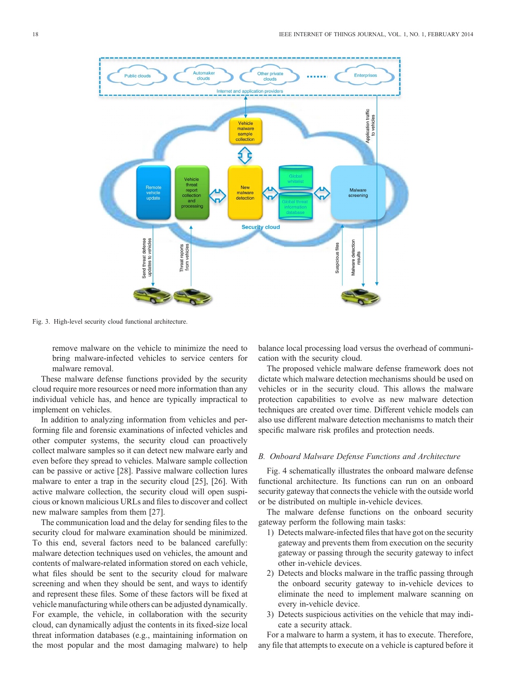

Fig. 3. High-level security cloud functional architecture.

remove malware on the vehicle to minimize the need to bring malware-infected vehicles to service centers for malware removal.

These malware defense functions provided by the security cloud require more resources or need more information than any individual vehicle has, and hence are typically impractical to implement on vehicles.

In addition to analyzing information from vehicles and performing file and forensic examinations of infected vehicles and other computer systems, the security cloud can proactively collect malware samples so it can detect new malware early and even before they spread to vehicles. Malware sample collection can be passive or active [28]. Passive malware collection lures malware to enter a trap in the security cloud [25], [26]. With active malware collection, the security cloud will open suspicious or known malicious URLs and files to discover and collect new malware samples from them [27].

The communication load and the delay for sending files to the security cloud for malware examination should be minimized. To this end, several factors need to be balanced carefully: malware detection techniques used on vehicles, the amount and contents of malware-related information stored on each vehicle, what files should be sent to the security cloud for malware screening and when they should be sent, and ways to identify and represent these files. Some of these factors will be fixed at vehicle manufacturing while others can be adjusted dynamically. For example, the vehicle, in collaboration with the security cloud, can dynamically adjust the contents in its fixed-size local threat information databases (e.g., maintaining information on the most popular and the most damaging malware) to help

balance local processing load versus the overhead of communication with the security cloud.

The proposed vehicle malware defense framework does not dictate which malware detection mechanisms should be used on vehicles or in the security cloud. This allows the malware protection capabilities to evolve as new malware detection techniques are created over time. Different vehicle models can also use different malware detection mechanisms to match their specific malware risk profiles and protection needs.

#### B. Onboard Malware Defense Functions and Architecture

Fig. 4 schematically illustrates the onboard malware defense functional architecture. Its functions can run on an onboard security gateway that connects the vehicle with the outside world or be distributed on multiple in-vehicle devices.

The malware defense functions on the onboard security gateway perform the following main tasks:

- 1) Detects malware-infected files that have got on the security gateway and prevents them from execution on the security gateway or passing through the security gateway to infect other in-vehicle devices.
- 2) Detects and blocks malware in the traffic passing through the onboard security gateway to in-vehicle devices to eliminate the need to implement malware scanning on every in-vehicle device.
- 3) Detects suspicious activities on the vehicle that may indicate a security attack.

For a malware to harm a system, it has to execute. Therefore, any file that attempts to execute on a vehicle is captured before it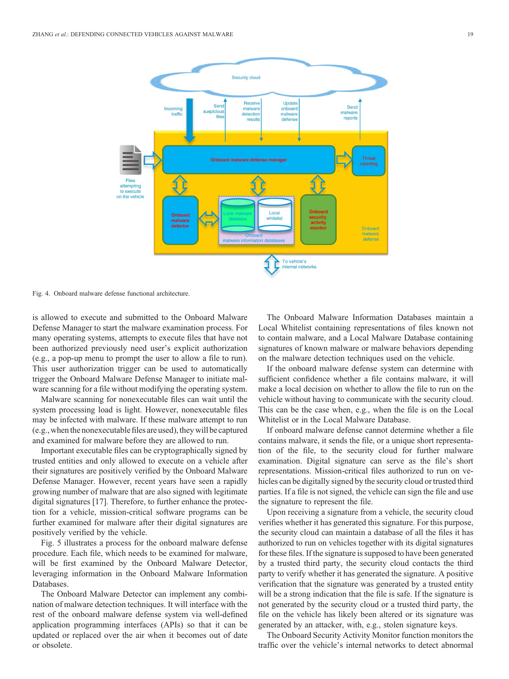

Fig. 4. Onboard malware defense functional architecture.

is allowed to execute and submitted to the Onboard Malware Defense Manager to start the malware examination process. For many operating systems, attempts to execute files that have not been authorized previously need user's explicit authorization (e.g., a pop-up menu to prompt the user to allow a file to run). This user authorization trigger can be used to automatically trigger the Onboard Malware Defense Manager to initiate malware scanning for a file without modifying the operating system.

Malware scanning for nonexecutable files can wait until the system processing load is light. However, nonexecutable files may be infected with malware. If these malware attempt to run (e.g., when the nonexecutable files are used), they will be captured and examined for malware before they are allowed to run.

Important executable files can be cryptographically signed by trusted entities and only allowed to execute on a vehicle after their signatures are positively verified by the Onboard Malware Defense Manager. However, recent years have seen a rapidly growing number of malware that are also signed with legitimate digital signatures [17]. Therefore, to further enhance the protection for a vehicle, mission-critical software programs can be further examined for malware after their digital signatures are positively verified by the vehicle.

Fig. 5 illustrates a process for the onboard malware defense procedure. Each file, which needs to be examined for malware, will be first examined by the Onboard Malware Detector, leveraging information in the Onboard Malware Information Databases.

The Onboard Malware Detector can implement any combination of malware detection techniques. It will interface with the rest of the onboard malware defense system via well-defined application programming interfaces (APIs) so that it can be updated or replaced over the air when it becomes out of date or obsolete.

The Onboard Malware Information Databases maintain a Local Whitelist containing representations of files known not to contain malware, and a Local Malware Database containing signatures of known malware or malware behaviors depending on the malware detection techniques used on the vehicle.

If the onboard malware defense system can determine with sufficient confidence whether a file contains malware, it will make a local decision on whether to allow the file to run on the vehicle without having to communicate with the security cloud. This can be the case when, e.g., when the file is on the Local Whitelist or in the Local Malware Database.

If onboard malware defense cannot determine whether a file contains malware, it sends the file, or a unique short representation of the file, to the security cloud for further malware examination. Digital signature can serve as the file's short representations. Mission-critical files authorized to run on vehicles can be digitally signed by the security cloud or trusted third parties. If a file is not signed, the vehicle can sign the file and use the signature to represent the file.

Upon receiving a signature from a vehicle, the security cloud verifies whether it has generated this signature. For this purpose, the security cloud can maintain a database of all the files it has authorized to run on vehicles together with its digital signatures for these files. If the signature is supposed to have been generated by a trusted third party, the security cloud contacts the third party to verify whether it has generated the signature. A positive verification that the signature was generated by a trusted entity will be a strong indication that the file is safe. If the signature is not generated by the security cloud or a trusted third party, the file on the vehicle has likely been altered or its signature was generated by an attacker, with, e.g., stolen signature keys.

The Onboard Security Activity Monitor function monitors the traffic over the vehicle's internal networks to detect abnormal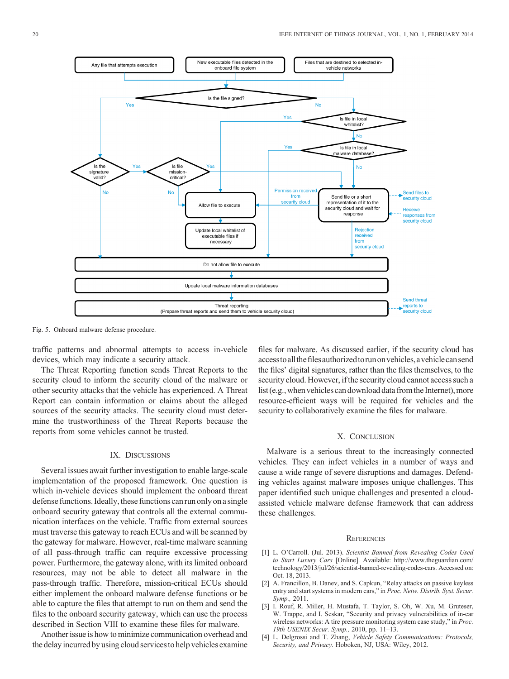

Fig. 5. Onboard malware defense procedure.

traffic patterns and abnormal attempts to access in-vehicle devices, which may indicate a security attack.

The Threat Reporting function sends Threat Reports to the security cloud to inform the security cloud of the malware or other security attacks that the vehicle has experienced. A Threat Report can contain information or claims about the alleged sources of the security attacks. The security cloud must determine the trustworthiness of the Threat Reports because the reports from some vehicles cannot be trusted.

## IX. DISCUSSIONS

Several issues await further investigation to enable large-scale implementation of the proposed framework. One question is which in-vehicle devices should implement the onboard threat defense functions. Ideally, these functions can run only on a single onboard security gateway that controls all the external communication interfaces on the vehicle. Traffic from external sources must traverse this gateway to reach ECUs and will be scanned by the gateway for malware. However, real-time malware scanning of all pass-through traffic can require excessive processing power. Furthermore, the gateway alone, with its limited onboard resources, may not be able to detect all malware in the pass-through traffic. Therefore, mission-critical ECUs should either implement the onboard malware defense functions or be able to capture the files that attempt to run on them and send the files to the onboard security gateway, which can use the process described in Section VIII to examine these files for malware.

Another issue is how to minimize communication overhead and the delayincurred by using cloud servicesto help vehicles examine files for malware. As discussed earlier, if the security cloud has accesstoallthefilesauthorizedto runonvehicles,avehiclecan send the files' digital signatures, rather than the files themselves, to the security cloud. However, if the security cloud cannot access such a list (e.g., when vehicles can download data from the Internet), more resource-efficient ways will be required for vehicles and the security to collaboratively examine the files for malware.

#### X. CONCLUSION

Malware is a serious threat to the increasingly connected vehicles. They can infect vehicles in a number of ways and cause a wide range of severe disruptions and damages. Defending vehicles against malware imposes unique challenges. This paper identified such unique challenges and presented a cloudassisted vehicle malware defense framework that can address these challenges.

#### **REFERENCES**

- [1] L. O'Carroll. (Jul. 2013). Scientist Banned from Revealing Codes Used to Start Luxury Cars [Online]. Available: http://www.theguardian.com/ technology/2013/jul/26/scientist-banned-revealing-codes-cars. Accessed on: Oct. 18, 2013.
- [2] A. Francillon, B. Danev, and S. Capkun, "Relay attacks on passive keyless entry and start systems in modern cars," in Proc. Netw. Distrib. Syst. Secur. Symp., 2011.
- [3] I. Rouf, R. Miller, H. Mustafa, T. Taylor, S. Oh, W. Xu, M. Gruteser, W. Trappe, and I. Seskar, "Security and privacy vulnerabilities of in-car wireless networks: A tire pressure monitoring system case study," in Proc. 19th USENIX Secur. Symp., 2010, pp. 11–13.
- [4] L. Delgrossi and T. Zhang, Vehicle Safety Communications: Protocols, Security, and Privacy. Hoboken, NJ, USA: Wiley, 2012.